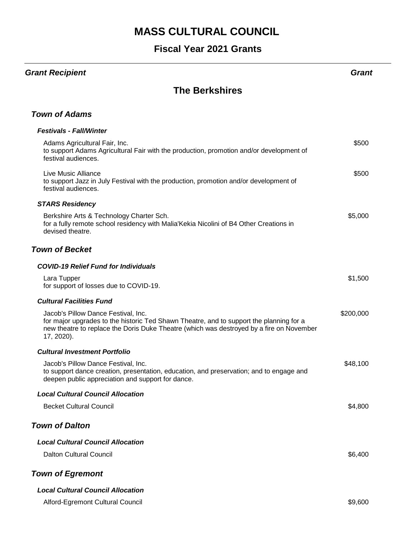## **Fiscal Year 2021 Grants**

#### *Grant Recipient Grant*

#### **The Berkshires**

#### *Town of Adams*

| <b>Festivals - Fall/Winter</b>                                                                                                                                                                                                           |           |
|------------------------------------------------------------------------------------------------------------------------------------------------------------------------------------------------------------------------------------------|-----------|
| Adams Agricultural Fair, Inc.<br>to support Adams Agricultural Fair with the production, promotion and/or development of<br>festival audiences.                                                                                          | \$500     |
| <b>Live Music Alliance</b><br>to support Jazz in July Festival with the production, promotion and/or development of<br>festival audiences.                                                                                               | \$500     |
| <b>STARS Residency</b>                                                                                                                                                                                                                   |           |
| Berkshire Arts & Technology Charter Sch.<br>for a fully remote school residency with Malia'Kekia Nicolini of B4 Other Creations in<br>devised theatre.                                                                                   | \$5,000   |
| <b>Town of Becket</b>                                                                                                                                                                                                                    |           |
| <b>COVID-19 Relief Fund for Individuals</b>                                                                                                                                                                                              |           |
| Lara Tupper<br>for support of losses due to COVID-19.                                                                                                                                                                                    | \$1,500   |
| <b>Cultural Facilities Fund</b>                                                                                                                                                                                                          |           |
| Jacob's Pillow Dance Festival, Inc.<br>for major upgrades to the historic Ted Shawn Theatre, and to support the planning for a<br>new theatre to replace the Doris Duke Theatre (which was destroyed by a fire on November<br>17, 2020). | \$200,000 |
| <b>Cultural Investment Portfolio</b>                                                                                                                                                                                                     |           |
| Jacob's Pillow Dance Festival, Inc.<br>to support dance creation, presentation, education, and preservation; and to engage and<br>deepen public appreciation and support for dance.                                                      | \$48,100  |
| <b>Local Cultural Council Allocation</b>                                                                                                                                                                                                 |           |
| <b>Becket Cultural Council</b>                                                                                                                                                                                                           | \$4,800   |
| <b>Town of Dalton</b>                                                                                                                                                                                                                    |           |
| <b>Local Cultural Council Allocation</b>                                                                                                                                                                                                 |           |
| <b>Dalton Cultural Council</b>                                                                                                                                                                                                           | \$6,400   |
| <b>Town of Egremont</b>                                                                                                                                                                                                                  |           |
| <b>Local Cultural Council Allocation</b>                                                                                                                                                                                                 |           |
| Alford-Egremont Cultural Council                                                                                                                                                                                                         | \$9,600   |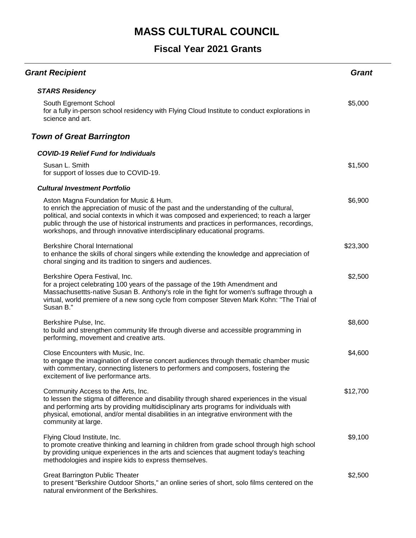| <b>Grant Recipient</b>                                                                                                                                                                                                                                                                                                                                                                                      | <b>Grant</b> |
|-------------------------------------------------------------------------------------------------------------------------------------------------------------------------------------------------------------------------------------------------------------------------------------------------------------------------------------------------------------------------------------------------------------|--------------|
| <b>STARS Residency</b>                                                                                                                                                                                                                                                                                                                                                                                      |              |
| South Egremont School<br>for a fully in-person school residency with Flying Cloud Institute to conduct explorations in<br>science and art.                                                                                                                                                                                                                                                                  | \$5,000      |
| <b>Town of Great Barrington</b>                                                                                                                                                                                                                                                                                                                                                                             |              |
| <b>COVID-19 Relief Fund for Individuals</b>                                                                                                                                                                                                                                                                                                                                                                 |              |
| Susan L. Smith<br>for support of losses due to COVID-19.                                                                                                                                                                                                                                                                                                                                                    | \$1,500      |
| <b>Cultural Investment Portfolio</b>                                                                                                                                                                                                                                                                                                                                                                        |              |
| Aston Magna Foundation for Music & Hum.<br>to enrich the appreciation of music of the past and the understanding of the cultural,<br>political, and social contexts in which it was composed and experienced; to reach a larger<br>public through the use of historical instruments and practices in performances, recordings,<br>workshops, and through innovative interdisciplinary educational programs. | \$6,900      |
| <b>Berkshire Choral International</b><br>to enhance the skills of choral singers while extending the knowledge and appreciation of<br>choral singing and its tradition to singers and audiences.                                                                                                                                                                                                            | \$23,300     |
| Berkshire Opera Festival, Inc.<br>for a project celebrating 100 years of the passage of the 19th Amendment and<br>Massachusettts-native Susan B. Anthony's role in the fight for women's suffrage through a<br>virtual, world premiere of a new song cycle from composer Steven Mark Kohn: "The Trial of<br>Susan B."                                                                                       | \$2,500      |
| Berkshire Pulse, Inc.<br>to build and strengthen community life through diverse and accessible programming in<br>performing, movement and creative arts.                                                                                                                                                                                                                                                    | \$8,600      |
| Close Encounters with Music, Inc.<br>to engage the imagination of diverse concert audiences through thematic chamber music<br>with commentary, connecting listeners to performers and composers, fostering the<br>excitement of live performance arts.                                                                                                                                                      | \$4,600      |
| Community Access to the Arts, Inc.<br>to lessen the stigma of difference and disability through shared experiences in the visual<br>and performing arts by providing multidisciplinary arts programs for individuals with<br>physical, emotional, and/or mental disabilities in an integrative environment with the<br>community at large.                                                                  | \$12,700     |
| Flying Cloud Institute, Inc.<br>to promote creative thinking and learning in children from grade school through high school<br>by providing unique experiences in the arts and sciences that augment today's teaching<br>methodologies and inspire kids to express themselves.                                                                                                                              | \$9,100      |
| <b>Great Barrington Public Theater</b><br>to present "Berkshire Outdoor Shorts," an online series of short, solo films centered on the<br>natural environment of the Berkshires.                                                                                                                                                                                                                            | \$2,500      |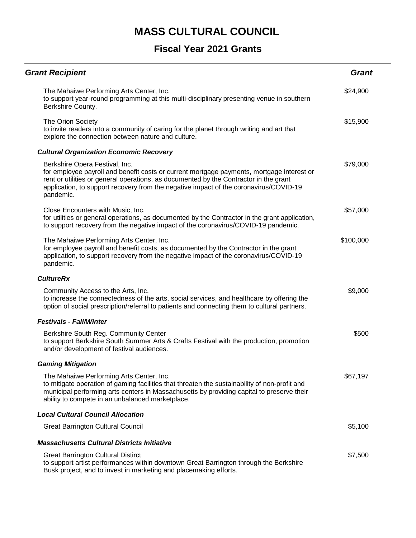| <b>Grant Recipient</b>                                                                                                                                                                                                                                                                                                     | <b>Grant</b> |
|----------------------------------------------------------------------------------------------------------------------------------------------------------------------------------------------------------------------------------------------------------------------------------------------------------------------------|--------------|
| The Mahaiwe Performing Arts Center, Inc.<br>to support year-round programming at this multi-disciplinary presenting venue in southern<br>Berkshire County.                                                                                                                                                                 | \$24,900     |
| The Orion Society<br>to invite readers into a community of caring for the planet through writing and art that<br>explore the connection between nature and culture.                                                                                                                                                        | \$15,900     |
| <b>Cultural Organization Economic Recovery</b>                                                                                                                                                                                                                                                                             |              |
| Berkshire Opera Festival, Inc.<br>for employee payroll and benefit costs or current mortgage payments, mortgage interest or<br>rent or utilities or general operations, as documented by the Contractor in the grant<br>application, to support recovery from the negative impact of the coronavirus/COVID-19<br>pandemic. | \$79,000     |
| Close Encounters with Music, Inc.<br>for utilities or general operations, as documented by the Contractor in the grant application,<br>to support recovery from the negative impact of the coronavirus/COVID-19 pandemic.                                                                                                  | \$57,000     |
| The Mahaiwe Performing Arts Center, Inc.<br>for employee payroll and benefit costs, as documented by the Contractor in the grant<br>application, to support recovery from the negative impact of the coronavirus/COVID-19<br>pandemic.                                                                                     | \$100,000    |
| <b>CultureRx</b>                                                                                                                                                                                                                                                                                                           |              |
| Community Access to the Arts, Inc.<br>to increase the connectedness of the arts, social services, and healthcare by offering the<br>option of social prescription/referral to patients and connecting them to cultural partners.                                                                                           | \$9,000      |
| <b>Festivals - Fall/Winter</b>                                                                                                                                                                                                                                                                                             |              |
| Berkshire South Reg. Community Center<br>to support Berkshire South Summer Arts & Crafts Festival with the production, promotion<br>and/or development of festival audiences.                                                                                                                                              | \$500        |
| <b>Gaming Mitigation</b>                                                                                                                                                                                                                                                                                                   |              |
| The Mahaiwe Performing Arts Center, Inc.<br>to mitigate operation of gaming facilities that threaten the sustainability of non-profit and<br>municipal performing arts centers in Massachusetts by providing capital to preserve their<br>ability to compete in an unbalanced marketplace.                                 | \$67,197     |
| <b>Local Cultural Council Allocation</b>                                                                                                                                                                                                                                                                                   |              |
| <b>Great Barrington Cultural Council</b>                                                                                                                                                                                                                                                                                   | \$5,100      |
| <b>Massachusetts Cultural Districts Initiative</b>                                                                                                                                                                                                                                                                         |              |
| <b>Great Barrington Cultural Distirct</b><br>to support artist performances within downtown Great Barrington through the Berkshire<br>Busk project, and to invest in marketing and placemaking efforts.                                                                                                                    | \$7,500      |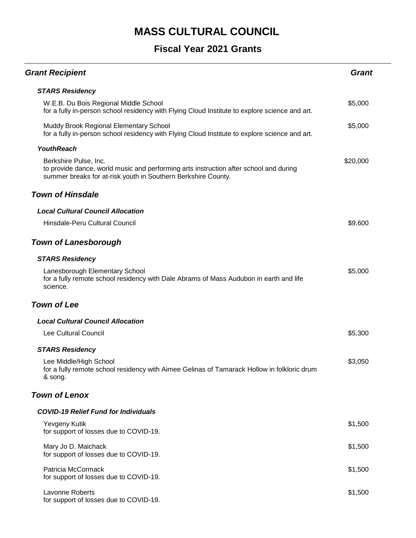| <b>Grant Recipient</b>                                                                                                                                                          | <b>Grant</b> |
|---------------------------------------------------------------------------------------------------------------------------------------------------------------------------------|--------------|
| <b>STARS Residency</b>                                                                                                                                                          |              |
| W.E.B. Du Bois Regional Middle School<br>for a fully in-person school residency with Flying Cloud Institute to explore science and art.                                         | \$5,000      |
| Muddy Brook Regional Elementary School<br>for a fully in-person school residency with Flying Cloud Institute to explore science and art.                                        | \$5,000      |
| <b>YouthReach</b>                                                                                                                                                               |              |
| Berkshire Pulse, Inc.<br>to provide dance, world music and performing arts instruction after school and during<br>summer breaks for at-risk youth in Southern Berkshire County. | \$20,000     |
| <b>Town of Hinsdale</b>                                                                                                                                                         |              |
| <b>Local Cultural Council Allocation</b>                                                                                                                                        |              |
| Hinsdale-Peru Cultural Council                                                                                                                                                  | \$9,600      |
| <b>Town of Lanesborough</b>                                                                                                                                                     |              |
| <b>STARS Residency</b>                                                                                                                                                          |              |
| Lanesborough Elementary School<br>for a fully remote school residency with Dale Abrams of Mass Audubon in earth and life<br>science.                                            | \$5,000      |
| <b>Town of Lee</b>                                                                                                                                                              |              |
| <b>Local Cultural Council Allocation</b>                                                                                                                                        |              |
| <b>Lee Cultural Council</b>                                                                                                                                                     | \$5,300      |
| <b>STARS Residency</b>                                                                                                                                                          |              |
| Lee Middle/High School<br>for a fully remote school residency with Aimee Gelinas of Tamarack Hollow in folkloric drum<br>& song.                                                | \$3,050      |
| <b>Town of Lenox</b>                                                                                                                                                            |              |
| <b>COVID-19 Relief Fund for Individuals</b>                                                                                                                                     |              |
| Yevgeny Kutik<br>for support of losses due to COVID-19.                                                                                                                         | \$1,500      |
| Mary Jo D. Maichack<br>for support of losses due to COVID-19.                                                                                                                   | \$1,500      |
| Patricia McCormack<br>for support of losses due to COVID-19.                                                                                                                    | \$1,500      |
| Lavonne Roberts<br>for support of losses due to COVID-19.                                                                                                                       | \$1,500      |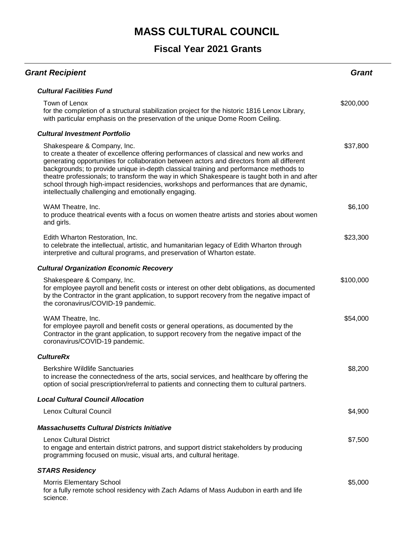| <b>Grant Recipient</b>                                                                                                                                                                                                                                                                                                                                                                                                                                                                                                                                       | Grant     |
|--------------------------------------------------------------------------------------------------------------------------------------------------------------------------------------------------------------------------------------------------------------------------------------------------------------------------------------------------------------------------------------------------------------------------------------------------------------------------------------------------------------------------------------------------------------|-----------|
| <b>Cultural Facilities Fund</b>                                                                                                                                                                                                                                                                                                                                                                                                                                                                                                                              |           |
| Town of Lenox<br>for the completion of a structural stabilization project for the historic 1816 Lenox Library,<br>with particular emphasis on the preservation of the unique Dome Room Ceiling.                                                                                                                                                                                                                                                                                                                                                              | \$200,000 |
| <b>Cultural Investment Portfolio</b>                                                                                                                                                                                                                                                                                                                                                                                                                                                                                                                         |           |
| Shakespeare & Company, Inc.<br>to create a theater of excellence offering performances of classical and new works and<br>generating opportunities for collaboration between actors and directors from all different<br>backgrounds; to provide unique in-depth classical training and performance methods to<br>theatre professionals; to transform the way in which Shakespeare is taught both in and after<br>school through high-impact residencies, workshops and performances that are dynamic,<br>intellectually challenging and emotionally engaging. | \$37,800  |
| WAM Theatre, Inc.<br>to produce theatrical events with a focus on women theatre artists and stories about women<br>and girls.                                                                                                                                                                                                                                                                                                                                                                                                                                | \$6,100   |
| Edith Wharton Restoration, Inc.<br>to celebrate the intellectual, artistic, and humanitarian legacy of Edith Wharton through<br>interpretive and cultural programs, and preservation of Wharton estate.                                                                                                                                                                                                                                                                                                                                                      | \$23,300  |
| <b>Cultural Organization Economic Recovery</b>                                                                                                                                                                                                                                                                                                                                                                                                                                                                                                               |           |
| Shakespeare & Company, Inc.<br>for employee payroll and benefit costs or interest on other debt obligations, as documented<br>by the Contractor in the grant application, to support recovery from the negative impact of<br>the coronavirus/COVID-19 pandemic.                                                                                                                                                                                                                                                                                              | \$100,000 |
| WAM Theatre, Inc.<br>for employee payroll and benefit costs or general operations, as documented by the<br>Contractor in the grant application, to support recovery from the negative impact of the<br>coronavirus/COVID-19 pandemic.                                                                                                                                                                                                                                                                                                                        | \$54,000  |
| <b>CultureRx</b>                                                                                                                                                                                                                                                                                                                                                                                                                                                                                                                                             |           |
| <b>Berkshire Wildlife Sanctuaries</b><br>to increase the connectedness of the arts, social services, and healthcare by offering the<br>option of social prescription/referral to patients and connecting them to cultural partners.                                                                                                                                                                                                                                                                                                                          | \$8,200   |
| <b>Local Cultural Council Allocation</b>                                                                                                                                                                                                                                                                                                                                                                                                                                                                                                                     |           |
| <b>Lenox Cultural Council</b>                                                                                                                                                                                                                                                                                                                                                                                                                                                                                                                                | \$4,900   |
| <b>Massachusetts Cultural Districts Initiative</b>                                                                                                                                                                                                                                                                                                                                                                                                                                                                                                           |           |
| <b>Lenox Cultural District</b><br>to engage and entertain district patrons, and support district stakeholders by producing<br>programming focused on music, visual arts, and cultural heritage.                                                                                                                                                                                                                                                                                                                                                              | \$7,500   |
| <b>STARS Residency</b>                                                                                                                                                                                                                                                                                                                                                                                                                                                                                                                                       |           |
| <b>Morris Elementary School</b><br>for a fully remote school residency with Zach Adams of Mass Audubon in earth and life<br>science.                                                                                                                                                                                                                                                                                                                                                                                                                         | \$5,000   |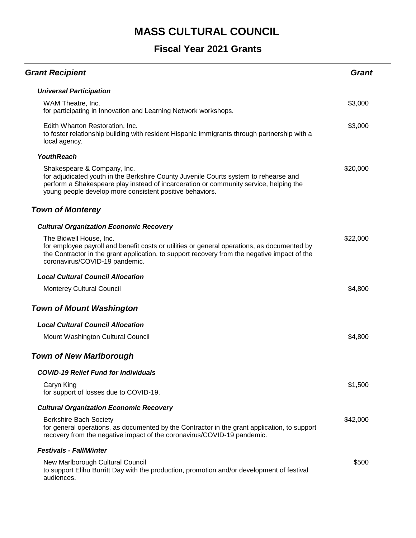| <b>Grant Recipient</b>                                                                                                                                                                                                                                                   | Grant    |
|--------------------------------------------------------------------------------------------------------------------------------------------------------------------------------------------------------------------------------------------------------------------------|----------|
| <b>Universal Participation</b>                                                                                                                                                                                                                                           |          |
| WAM Theatre, Inc.<br>for participating in Innovation and Learning Network workshops.                                                                                                                                                                                     | \$3,000  |
| Edith Wharton Restoration, Inc.<br>to foster relationship building with resident Hispanic immigrants through partnership with a<br>local agency.                                                                                                                         | \$3,000  |
| <b>YouthReach</b>                                                                                                                                                                                                                                                        |          |
| Shakespeare & Company, Inc.<br>for adjudicated youth in the Berkshire County Juvenile Courts system to rehearse and<br>perform a Shakespeare play instead of incarceration or community service, helping the<br>young people develop more consistent positive behaviors. | \$20,000 |
| <b>Town of Monterey</b>                                                                                                                                                                                                                                                  |          |
| <b>Cultural Organization Economic Recovery</b>                                                                                                                                                                                                                           |          |
| The Bidwell House, Inc.<br>for employee payroll and benefit costs or utilities or general operations, as documented by<br>the Contractor in the grant application, to support recovery from the negative impact of the<br>coronavirus/COVID-19 pandemic.                 | \$22,000 |
| <b>Local Cultural Council Allocation</b>                                                                                                                                                                                                                                 |          |
| <b>Monterey Cultural Council</b>                                                                                                                                                                                                                                         | \$4,800  |
| <b>Town of Mount Washington</b>                                                                                                                                                                                                                                          |          |
| <b>Local Cultural Council Allocation</b>                                                                                                                                                                                                                                 |          |
| Mount Washington Cultural Council                                                                                                                                                                                                                                        | \$4,800  |
| <b>Town of New Marlborough</b>                                                                                                                                                                                                                                           |          |
| <b>COVID-19 Relief Fund for Individuals</b>                                                                                                                                                                                                                              |          |
| Caryn King<br>for support of losses due to COVID-19.                                                                                                                                                                                                                     | \$1,500  |
| <b>Cultural Organization Economic Recovery</b>                                                                                                                                                                                                                           |          |
| <b>Berkshire Bach Society</b><br>for general operations, as documented by the Contractor in the grant application, to support<br>recovery from the negative impact of the coronavirus/COVID-19 pandemic.                                                                 | \$42,000 |
| <b>Festivals - Fall/Winter</b>                                                                                                                                                                                                                                           |          |
| New Marlborough Cultural Council<br>to support Elihu Burritt Day with the production, promotion and/or development of festival<br>audiences.                                                                                                                             | \$500    |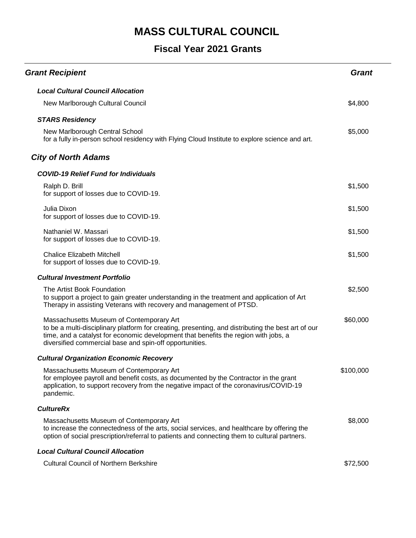| <b>Grant Recipient</b>                                                                                                                                                                                                                                                                           | <b>Grant</b> |
|--------------------------------------------------------------------------------------------------------------------------------------------------------------------------------------------------------------------------------------------------------------------------------------------------|--------------|
| <b>Local Cultural Council Allocation</b>                                                                                                                                                                                                                                                         |              |
| New Marlborough Cultural Council                                                                                                                                                                                                                                                                 | \$4,800      |
| <b>STARS Residency</b>                                                                                                                                                                                                                                                                           |              |
| New Marlborough Central School<br>for a fully in-person school residency with Flying Cloud Institute to explore science and art.                                                                                                                                                                 | \$5,000      |
| <b>City of North Adams</b>                                                                                                                                                                                                                                                                       |              |
| <b>COVID-19 Relief Fund for Individuals</b>                                                                                                                                                                                                                                                      |              |
| Ralph D. Brill<br>for support of losses due to COVID-19.                                                                                                                                                                                                                                         | \$1,500      |
| Julia Dixon<br>for support of losses due to COVID-19.                                                                                                                                                                                                                                            | \$1,500      |
| Nathaniel W. Massari<br>for support of losses due to COVID-19.                                                                                                                                                                                                                                   | \$1,500      |
| <b>Chalice Elizabeth Mitchell</b><br>for support of losses due to COVID-19.                                                                                                                                                                                                                      | \$1,500      |
| <b>Cultural Investment Portfolio</b>                                                                                                                                                                                                                                                             |              |
| The Artist Book Foundation<br>to support a project to gain greater understanding in the treatment and application of Art<br>Therapy in assisting Veterans with recovery and management of PTSD.                                                                                                  | \$2,500      |
| Massachusetts Museum of Contemporary Art<br>to be a multi-disciplinary platform for creating, presenting, and distributing the best art of our<br>time, and a catalyst for economic development that benefits the region with jobs, a<br>diversified commercial base and spin-off opportunities. | \$60,000     |
| <b>Cultural Organization Economic Recovery</b>                                                                                                                                                                                                                                                   |              |
| Massachusetts Museum of Contemporary Art<br>for employee payroll and benefit costs, as documented by the Contractor in the grant<br>application, to support recovery from the negative impact of the coronavirus/COVID-19<br>pandemic.                                                           | \$100,000    |
| <b>CultureRx</b>                                                                                                                                                                                                                                                                                 |              |
| Massachusetts Museum of Contemporary Art<br>to increase the connectedness of the arts, social services, and healthcare by offering the<br>option of social prescription/referral to patients and connecting them to cultural partners.                                                           | \$8,000      |
| <b>Local Cultural Council Allocation</b>                                                                                                                                                                                                                                                         |              |
| <b>Cultural Council of Northern Berkshire</b>                                                                                                                                                                                                                                                    | \$72,500     |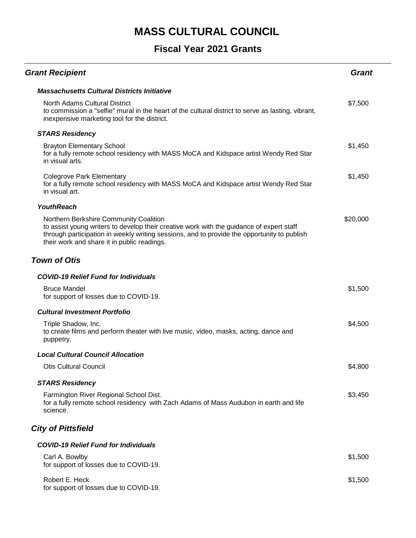| <b>Grant Recipient</b>                                                                                                                                                                                                                                                           | <b>Grant</b> |
|----------------------------------------------------------------------------------------------------------------------------------------------------------------------------------------------------------------------------------------------------------------------------------|--------------|
| <b>Massachusetts Cultural Districts Initiative</b>                                                                                                                                                                                                                               |              |
| <b>North Adams Cultural District</b><br>to commission a "selfie" mural in the heart of the cultural district to serve as lasting, vibrant,<br>inexpensive marketing tool for the district.                                                                                       | \$7,500      |
| <b>STARS Residency</b>                                                                                                                                                                                                                                                           |              |
| <b>Brayton Elementary School</b><br>for a fully remote school residency with MASS MoCA and Kidspace artist Wendy Red Star<br>in visual arts.                                                                                                                                     | \$1,450      |
| <b>Colegrove Park Elementary</b><br>for a fully remote school residency with MASS MoCA and Kidspace artist Wendy Red Star<br>in visual art.                                                                                                                                      | \$1,450      |
| <b>YouthReach</b>                                                                                                                                                                                                                                                                |              |
| Northern Berkshire Community Coalition<br>to assist young writers to develop their creative work with the guidance of expert staff<br>through participation in weekly writing sessions, and to provide the opportunity to publish<br>their work and share it in public readings. | \$20,000     |
| <b>Town of Otis</b>                                                                                                                                                                                                                                                              |              |
| <b>COVID-19 Relief Fund for Individuals</b>                                                                                                                                                                                                                                      |              |
| <b>Bruce Mandel</b><br>for support of losses due to COVID-19.                                                                                                                                                                                                                    | \$1,500      |
| <b>Cultural Investment Portfolio</b>                                                                                                                                                                                                                                             |              |
| Triple Shadow, Inc.<br>to create films and perform theater with live music, video, masks, acting, dance and<br>puppetry.                                                                                                                                                         | \$4,500      |
| <b>Local Cultural Council Allocation</b>                                                                                                                                                                                                                                         |              |
| <b>Otis Cultural Council</b>                                                                                                                                                                                                                                                     | \$4,800      |
| <b>STARS Residency</b>                                                                                                                                                                                                                                                           |              |
| Farmington River Regional School Dist.<br>for a fully remote school residency with Zach Adams of Mass Audubon in earth and life<br>science.                                                                                                                                      | \$3,450      |
| <b>City of Pittsfield</b>                                                                                                                                                                                                                                                        |              |
| <b>COVID-19 Relief Fund for Individuals</b>                                                                                                                                                                                                                                      |              |
| Carl A. Bowlby<br>for support of losses due to COVID-19.                                                                                                                                                                                                                         | \$1,500      |
| Robert E. Heck<br>for support of losses due to COVID-19.                                                                                                                                                                                                                         | \$1,500      |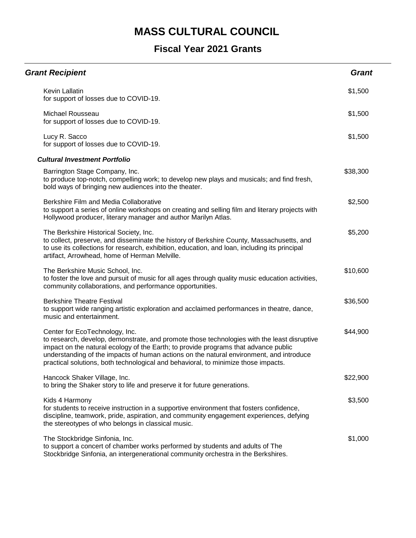| <b>Grant Recipient</b>                                                                                                                                                                                                                                                                                                                                                                                | <b>Grant</b> |
|-------------------------------------------------------------------------------------------------------------------------------------------------------------------------------------------------------------------------------------------------------------------------------------------------------------------------------------------------------------------------------------------------------|--------------|
| Kevin Lallatin<br>for support of losses due to COVID-19.                                                                                                                                                                                                                                                                                                                                              | \$1,500      |
| Michael Rousseau<br>for support of losses due to COVID-19.                                                                                                                                                                                                                                                                                                                                            | \$1,500      |
| Lucy R. Sacco<br>for support of losses due to COVID-19.                                                                                                                                                                                                                                                                                                                                               | \$1,500      |
| <b>Cultural Investment Portfolio</b>                                                                                                                                                                                                                                                                                                                                                                  |              |
| Barrington Stage Company, Inc.<br>to produce top-notch, compelling work; to develop new plays and musicals; and find fresh,<br>bold ways of bringing new audiences into the theater.                                                                                                                                                                                                                  | \$38,300     |
| Berkshire Film and Media Collaborative<br>to support a series of online workshops on creating and selling film and literary projects with<br>Hollywood producer, literary manager and author Marilyn Atlas.                                                                                                                                                                                           | \$2,500      |
| The Berkshire Historical Society, Inc.<br>to collect, preserve, and disseminate the history of Berkshire County, Massachusetts, and<br>to use its collections for research, exhibition, education, and loan, including its principal<br>artifact, Arrowhead, home of Herman Melville.                                                                                                                 | \$5,200      |
| The Berkshire Music School, Inc.<br>to foster the love and pursuit of music for all ages through quality music education activities,<br>community collaborations, and performance opportunities.                                                                                                                                                                                                      | \$10,600     |
| <b>Berkshire Theatre Festival</b><br>to support wide ranging artistic exploration and acclaimed performances in theatre, dance,<br>music and entertainment.                                                                                                                                                                                                                                           | \$36,500     |
| Center for EcoTechnology, Inc.<br>to research, develop, demonstrate, and promote those technologies with the least disruptive<br>impact on the natural ecology of the Earth; to provide programs that advance public<br>understanding of the impacts of human actions on the natural environment, and introduce<br>practical solutions, both technological and behavioral, to minimize those impacts. | \$44,900     |
| Hancock Shaker Village, Inc.<br>to bring the Shaker story to life and preserve it for future generations.                                                                                                                                                                                                                                                                                             | \$22,900     |
| Kids 4 Harmony<br>for students to receive instruction in a supportive environment that fosters confidence,<br>discipline, teamwork, pride, aspiration, and community engagement experiences, defying<br>the stereotypes of who belongs in classical music.                                                                                                                                            | \$3,500      |
| The Stockbridge Sinfonia, Inc.<br>to support a concert of chamber works performed by students and adults of The<br>Stockbridge Sinfonia, an intergenerational community orchestra in the Berkshires.                                                                                                                                                                                                  | \$1,000      |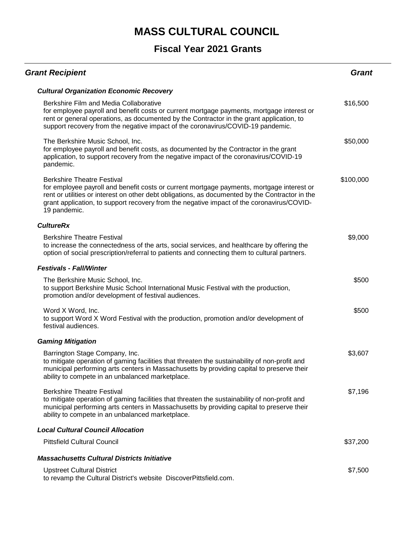| <b>Grant Recipient</b>                                                                                                                                                                                                                                                                                                                         | <b>Grant</b> |
|------------------------------------------------------------------------------------------------------------------------------------------------------------------------------------------------------------------------------------------------------------------------------------------------------------------------------------------------|--------------|
| <b>Cultural Organization Economic Recovery</b>                                                                                                                                                                                                                                                                                                 |              |
| Berkshire Film and Media Collaborative<br>for employee payroll and benefit costs or current mortgage payments, mortgage interest or<br>rent or general operations, as documented by the Contractor in the grant application, to<br>support recovery from the negative impact of the coronavirus/COVID-19 pandemic.                             | \$16,500     |
| The Berkshire Music School, Inc.<br>for employee payroll and benefit costs, as documented by the Contractor in the grant<br>application, to support recovery from the negative impact of the coronavirus/COVID-19<br>pandemic.                                                                                                                 | \$50,000     |
| <b>Berkshire Theatre Festival</b><br>for employee payroll and benefit costs or current mortgage payments, mortgage interest or<br>rent or utilities or interest on other debt obligations, as documented by the Contractor in the<br>grant application, to support recovery from the negative impact of the coronavirus/COVID-<br>19 pandemic. | \$100,000    |
| <b>CultureRx</b>                                                                                                                                                                                                                                                                                                                               |              |
| <b>Berkshire Theatre Festival</b><br>to increase the connectedness of the arts, social services, and healthcare by offering the<br>option of social prescription/referral to patients and connecting them to cultural partners.                                                                                                                | \$9,000      |
| <b>Festivals - Fall/Winter</b>                                                                                                                                                                                                                                                                                                                 |              |
| The Berkshire Music School, Inc.<br>to support Berkshire Music School International Music Festival with the production,<br>promotion and/or development of festival audiences.                                                                                                                                                                 | \$500        |
| Word X Word, Inc.<br>to support Word X Word Festival with the production, promotion and/or development of<br>festival audiences.                                                                                                                                                                                                               | \$500        |
| <b>Gaming Mitigation</b>                                                                                                                                                                                                                                                                                                                       |              |
| Barrington Stage Company, Inc.<br>to mitigate operation of gaming facilities that threaten the sustainability of non-profit and<br>municipal performing arts centers in Massachusetts by providing capital to preserve their<br>ability to compete in an unbalanced marketplace.                                                               | \$3,607      |
| <b>Berkshire Theatre Festival</b><br>to mitigate operation of gaming facilities that threaten the sustainability of non-profit and<br>municipal performing arts centers in Massachusetts by providing capital to preserve their<br>ability to compete in an unbalanced marketplace.                                                            | \$7,196      |
| <b>Local Cultural Council Allocation</b>                                                                                                                                                                                                                                                                                                       |              |
| <b>Pittsfield Cultural Council</b>                                                                                                                                                                                                                                                                                                             | \$37,200     |
| <b>Massachusetts Cultural Districts Initiative</b>                                                                                                                                                                                                                                                                                             |              |
| <b>Upstreet Cultural District</b><br>to revamp the Cultural District's website DiscoverPittsfield.com.                                                                                                                                                                                                                                         | \$7,500      |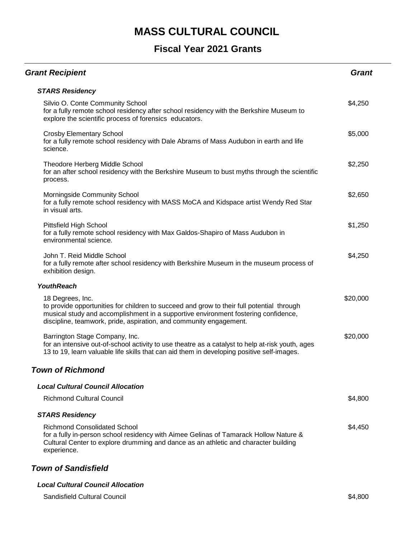#### **Fiscal Year 2021 Grants**

| <b>Grant Recipient</b>                                                                                                                                                                                                                                                    | Grant    |
|---------------------------------------------------------------------------------------------------------------------------------------------------------------------------------------------------------------------------------------------------------------------------|----------|
| <b>STARS Residency</b>                                                                                                                                                                                                                                                    |          |
| Silvio O. Conte Community School<br>for a fully remote school residency after school residency with the Berkshire Museum to<br>explore the scientific process of forensics educators.                                                                                     | \$4,250  |
| <b>Crosby Elementary School</b><br>for a fully remote school residency with Dale Abrams of Mass Audubon in earth and life<br>science.                                                                                                                                     | \$5,000  |
| Theodore Herberg Middle School<br>for an after school residency with the Berkshire Museum to bust myths through the scientific<br>process.                                                                                                                                | \$2,250  |
| Morningside Community School<br>for a fully remote school residency with MASS MoCA and Kidspace artist Wendy Red Star<br>in visual arts.                                                                                                                                  | \$2,650  |
| Pittsfield High School<br>for a fully remote school residency with Max Galdos-Shapiro of Mass Audubon in<br>environmental science.                                                                                                                                        | \$1,250  |
| John T. Reid Middle School<br>for a fully remote after school residency with Berkshire Museum in the museum process of<br>exhibition design.                                                                                                                              | \$4,250  |
| <b>YouthReach</b>                                                                                                                                                                                                                                                         |          |
| 18 Degrees, Inc.<br>to provide opportunities for children to succeed and grow to their full potential through<br>musical study and accomplishment in a supportive environment fostering confidence,<br>discipline, teamwork, pride, aspiration, and community engagement. | \$20,000 |
| Barrington Stage Company, Inc.<br>for an intensive out-of-school activity to use theatre as a catalyst to help at-risk youth, ages<br>13 to 19, learn valuable life skills that can aid them in developing positive self-images.                                          | \$20,000 |
| <b>Town of Richmond</b>                                                                                                                                                                                                                                                   |          |
| <b>Local Cultural Council Allocation</b>                                                                                                                                                                                                                                  |          |
| <b>Richmond Cultural Council</b>                                                                                                                                                                                                                                          | \$4,800  |
| <b>STARS Residency</b>                                                                                                                                                                                                                                                    |          |
| <b>Richmond Consolidated School</b><br>for a fully in-person school residency with Aimee Gelinas of Tamarack Hollow Nature &<br>Cultural Center to explore drumming and dance as an athletic and character building<br>experience.                                        | \$4,450  |

#### *Town of Sandisfield*

#### *Local Cultural Council Allocation*

Sandisfield Cultural Council \$4,800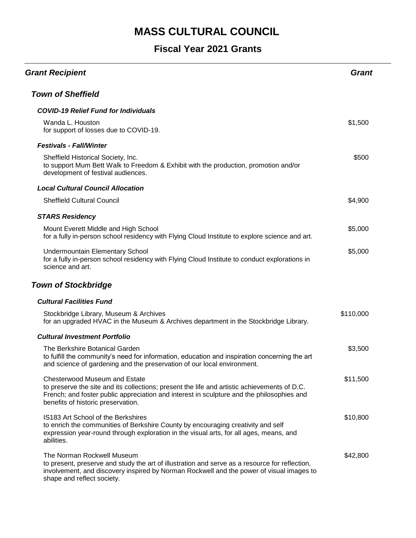| <b>Grant Recipient</b>                                                                                                                                                                                                                                                  | <b>Grant</b> |
|-------------------------------------------------------------------------------------------------------------------------------------------------------------------------------------------------------------------------------------------------------------------------|--------------|
| <b>Town of Sheffield</b>                                                                                                                                                                                                                                                |              |
| <b>COVID-19 Relief Fund for Individuals</b>                                                                                                                                                                                                                             |              |
| Wanda L. Houston<br>for support of losses due to COVID-19.                                                                                                                                                                                                              | \$1,500      |
| <b>Festivals - Fall/Winter</b>                                                                                                                                                                                                                                          |              |
| Sheffield Historical Society, Inc.<br>to support Mum Bett Walk to Freedom & Exhibit with the production, promotion and/or<br>development of festival audiences.                                                                                                         | \$500        |
| <b>Local Cultural Council Allocation</b>                                                                                                                                                                                                                                |              |
| <b>Sheffield Cultural Council</b>                                                                                                                                                                                                                                       | \$4,900      |
| <b>STARS Residency</b>                                                                                                                                                                                                                                                  |              |
| Mount Everett Middle and High School<br>for a fully in-person school residency with Flying Cloud Institute to explore science and art.                                                                                                                                  | \$5,000      |
| <b>Undermountain Elementary School</b><br>for a fully in-person school residency with Flying Cloud Institute to conduct explorations in<br>science and art.                                                                                                             | \$5,000      |
| <b>Town of Stockbridge</b>                                                                                                                                                                                                                                              |              |
| <b>Cultural Facilities Fund</b>                                                                                                                                                                                                                                         |              |
| Stockbridge Library, Museum & Archives<br>for an upgraded HVAC in the Museum & Archives department in the Stockbridge Library.                                                                                                                                          | \$110,000    |
| <b>Cultural Investment Portfolio</b>                                                                                                                                                                                                                                    |              |
| The Berkshire Botanical Garden<br>to fulfill the community's need for information, education and inspiration concerning the art<br>and science of gardening and the preservation of our local environment.                                                              | \$3,500      |
| <b>Chesterwood Museum and Estate</b><br>to preserve the site and its collections; present the life and artistic achievements of D.C.<br>French; and foster public appreciation and interest in sculpture and the philosophies and<br>benefits of historic preservation. | \$11,500     |
| IS183 Art School of the Berkshires<br>to enrich the communities of Berkshire County by encouraging creativity and self<br>expression year-round through exploration in the visual arts, for all ages, means, and<br>abilities.                                          | \$10,800     |
| The Norman Rockwell Museum<br>to present, preserve and study the art of illustration and serve as a resource for reflection,<br>involvement, and discovery inspired by Norman Rockwell and the power of visual images to<br>shape and reflect society.                  | \$42,800     |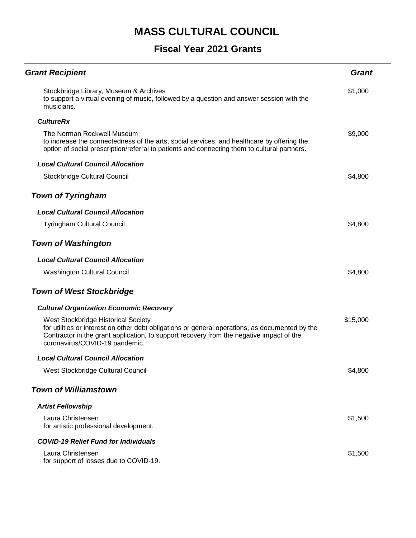| <b>Grant Recipient</b>                                                                                                                                                                                                                                               | <b>Grant</b> |
|----------------------------------------------------------------------------------------------------------------------------------------------------------------------------------------------------------------------------------------------------------------------|--------------|
| Stockbridge Library, Museum & Archives<br>to support a virtual evening of music, followed by a question and answer session with the<br>musicians.                                                                                                                    | \$1,000      |
| <b>CultureRx</b>                                                                                                                                                                                                                                                     |              |
| The Norman Rockwell Museum<br>to increase the connectedness of the arts, social services, and healthcare by offering the<br>option of social prescription/referral to patients and connecting them to cultural partners.                                             | \$9,000      |
| <b>Local Cultural Council Allocation</b>                                                                                                                                                                                                                             |              |
| Stockbridge Cultural Council                                                                                                                                                                                                                                         | \$4,800      |
| <b>Town of Tyringham</b>                                                                                                                                                                                                                                             |              |
| <b>Local Cultural Council Allocation</b>                                                                                                                                                                                                                             |              |
| <b>Tyringham Cultural Council</b>                                                                                                                                                                                                                                    | \$4,800      |
| <b>Town of Washington</b>                                                                                                                                                                                                                                            |              |
| <b>Local Cultural Council Allocation</b>                                                                                                                                                                                                                             |              |
| <b>Washington Cultural Council</b>                                                                                                                                                                                                                                   | \$4,800      |
| <b>Town of West Stockbridge</b>                                                                                                                                                                                                                                      |              |
| <b>Cultural Organization Economic Recovery</b>                                                                                                                                                                                                                       |              |
| West Stockbridge Historical Society<br>for utilities or interest on other debt obligations or general operations, as documented by the<br>Contractor in the grant application, to support recovery from the negative impact of the<br>coronavirus/COVID-19 pandemic. | \$15,000     |
| <b>Local Cultural Council Allocation</b>                                                                                                                                                                                                                             |              |
| West Stockbridge Cultural Council                                                                                                                                                                                                                                    | \$4,800      |
| <b>Town of Williamstown</b>                                                                                                                                                                                                                                          |              |
| <b>Artist Fellowship</b>                                                                                                                                                                                                                                             |              |
| Laura Christensen<br>for artistic professional development.                                                                                                                                                                                                          | \$1,500      |
| <b>COVID-19 Relief Fund for Individuals</b>                                                                                                                                                                                                                          |              |
| Laura Christensen<br>for support of losses due to COVID-19.                                                                                                                                                                                                          | \$1,500      |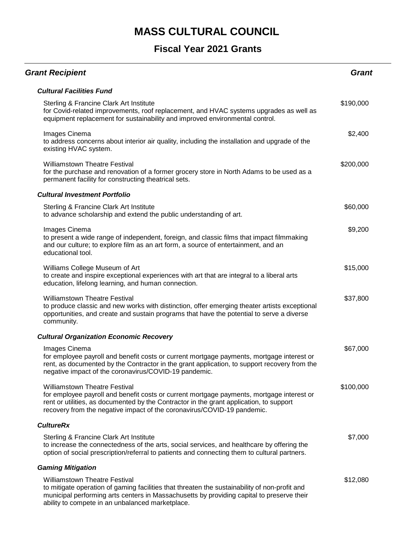| <b>Grant Recipient</b>                                                                                                                                                                                                                                                                                  | Grant     |
|---------------------------------------------------------------------------------------------------------------------------------------------------------------------------------------------------------------------------------------------------------------------------------------------------------|-----------|
| <b>Cultural Facilities Fund</b>                                                                                                                                                                                                                                                                         |           |
| Sterling & Francine Clark Art Institute<br>for Covid-related improvements, roof replacement, and HVAC systems upgrades as well as<br>equipment replacement for sustainability and improved environmental control.                                                                                       | \$190,000 |
| Images Cinema<br>to address concerns about interior air quality, including the installation and upgrade of the<br>existing HVAC system.                                                                                                                                                                 | \$2,400   |
| <b>Williamstown Theatre Festival</b><br>for the purchase and renovation of a former grocery store in North Adams to be used as a<br>permanent facility for constructing theatrical sets.                                                                                                                | \$200,000 |
| <b>Cultural Investment Portfolio</b>                                                                                                                                                                                                                                                                    |           |
| Sterling & Francine Clark Art Institute<br>to advance scholarship and extend the public understanding of art.                                                                                                                                                                                           | \$60,000  |
| Images Cinema<br>to present a wide range of independent, foreign, and classic films that impact filmmaking<br>and our culture; to explore film as an art form, a source of entertainment, and an<br>educational tool.                                                                                   | \$9,200   |
| Williams College Museum of Art<br>to create and inspire exceptional experiences with art that are integral to a liberal arts<br>education, lifelong learning, and human connection.                                                                                                                     | \$15,000  |
| <b>Williamstown Theatre Festival</b><br>to produce classic and new works with distinction, offer emerging theater artists exceptional<br>opportunities, and create and sustain programs that have the potential to serve a diverse<br>community.                                                        | \$37,800  |
| <b>Cultural Organization Economic Recovery</b>                                                                                                                                                                                                                                                          |           |
| Images Cinema<br>for employee payroll and benefit costs or current mortgage payments, mortgage interest or<br>rent, as documented by the Contractor in the grant application, to support recovery from the<br>negative impact of the coronavirus/COVID-19 pandemic.                                     | \$67,000  |
| <b>Williamstown Theatre Festival</b><br>for employee payroll and benefit costs or current mortgage payments, mortgage interest or<br>rent or utilities, as documented by the Contractor in the grant application, to support<br>recovery from the negative impact of the coronavirus/COVID-19 pandemic. | \$100,000 |
| <b>CultureRx</b>                                                                                                                                                                                                                                                                                        |           |
| Sterling & Francine Clark Art Institute<br>to increase the connectedness of the arts, social services, and healthcare by offering the<br>option of social prescription/referral to patients and connecting them to cultural partners.                                                                   | \$7,000   |
| <b>Gaming Mitigation</b>                                                                                                                                                                                                                                                                                |           |
| <b>Williamstown Theatre Festival</b><br>to mitigate operation of gaming facilities that threaten the sustainability of non-profit and<br>municipal performing arts centers in Massachusetts by providing capital to preserve their<br>ability to compete in an unbalanced marketplace.                  | \$12,080  |